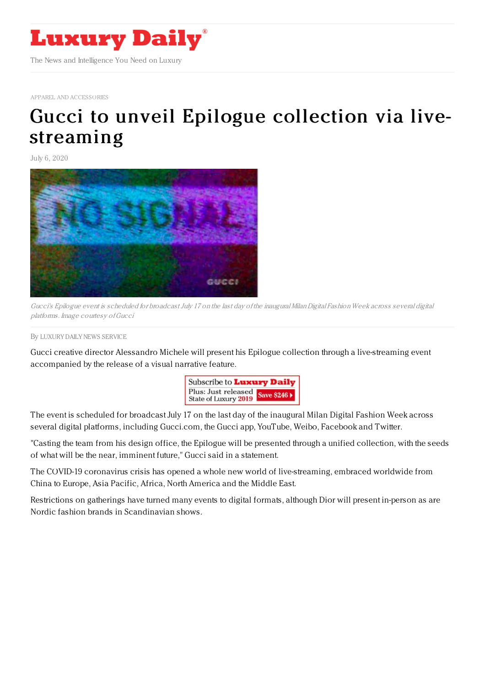

APPAREL AND [ACCESSORIES](https://www.luxurydaily.com/category/sectors/apparel-and-accessories/)

## Gucci to unveil Epilogue [collection](https://www.luxurydaily.com/?p=308609) via livestreaming

July 6, 2020



Gucci's Epilogue event is scheduled for broadcast July 17 on the last day of the inaugural Milan Digital Fashion Week across several digital platforms. Image courtesy ofGucci

By LUXURY DAILY NEWS [SERVICE](file:///author/luxury-daily-news-service)

Gucci creative director Alessandro Michele will present his Epilogue collection through a live-streaming event accompanied by the release of a visual narrative feature.



The event is scheduled for broadcast July 17 on the last day of the inaugural Milan Digital Fashion Week across several digital platforms, including Gucci.com, the Gucci app, YouTube, Weibo, Facebook and Twitter.

"Casting the team from his design office, the Epilogue will be presented through a unified collection, with the seeds of what will be the near, imminent future," Gucci said in a statement.

The COVID-19 coronavirus crisis has opened a whole new world of live-streaming, embraced worldwide from China to Europe, Asia Pacific, Africa, North America and the Middle East.

Restrictions on gatherings have turned many events to digital formats, although Dior will present in-person as are Nordic fashion brands in Scandinavian shows.